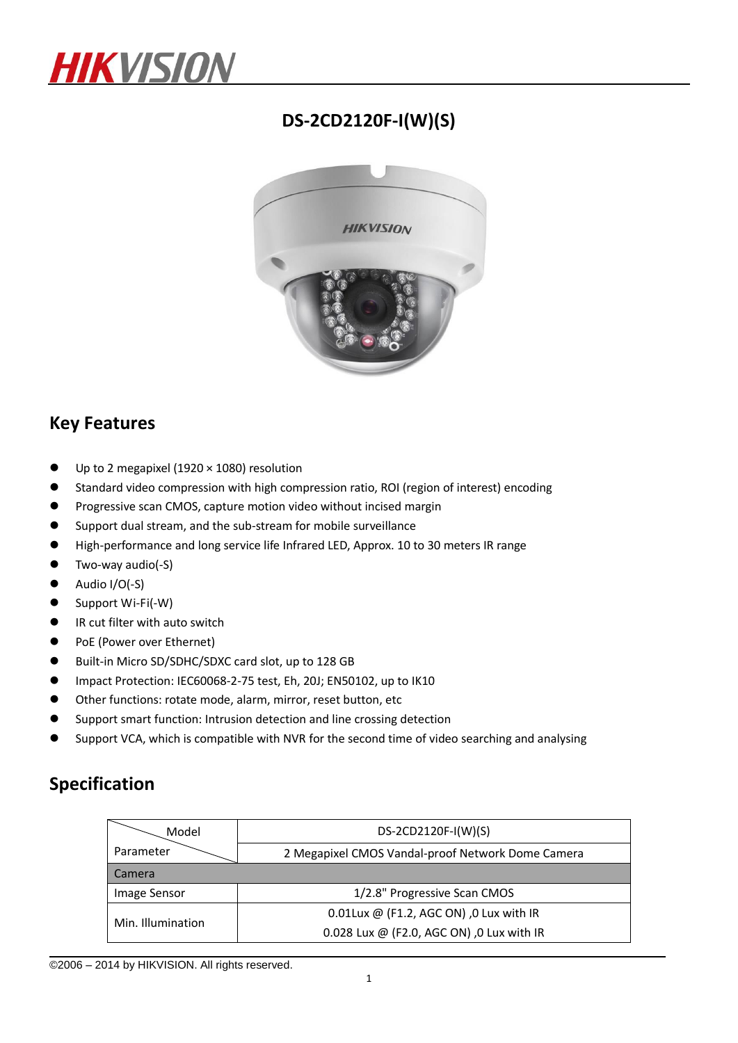

### **DS-2CD2120F-I(W)(S)**



#### **Key Features**

- Up to 2 megapixel (1920  $\times$  1080) resolution
- Standard video compression with high compression ratio, ROI (region of interest) encoding
- Progressive scan CMOS, capture motion video without incised margin
- Support dual stream, and the sub-stream for mobile surveillance
- High-performance and long service life Infrared LED, Approx. 10 to 30 meters IR range
- Two-way audio(-S)
- $\bullet$  Audio I/O(-S)
- $\bullet$  Support Wi-Fi(-W)
- IR cut filter with auto switch
- PoE (Power over Ethernet)
- Built-in Micro SD/SDHC/SDXC card slot, up to 128 GB
- Impact Protection: IEC60068-2-75 test, Eh, 20J; EN50102, up to IK10
- Other functions: rotate mode, alarm, mirror, reset button, etc
- Support smart function: Intrusion detection and line crossing detection
- Support VCA, which is compatible with NVR for the second time of video searching and analysing

## **Specification**

| Model             | DS-2CD2120F-I(W)(S)                               |  |  |
|-------------------|---------------------------------------------------|--|--|
| Parameter         | 2 Megapixel CMOS Vandal-proof Network Dome Camera |  |  |
| Camera            |                                                   |  |  |
| Image Sensor      | 1/2.8" Progressive Scan CMOS                      |  |  |
| Min. Illumination | 0.01Lux @ (F1.2, AGC ON), 0 Lux with IR           |  |  |
|                   | 0.028 Lux @ (F2.0, AGC ON), 0 Lux with IR         |  |  |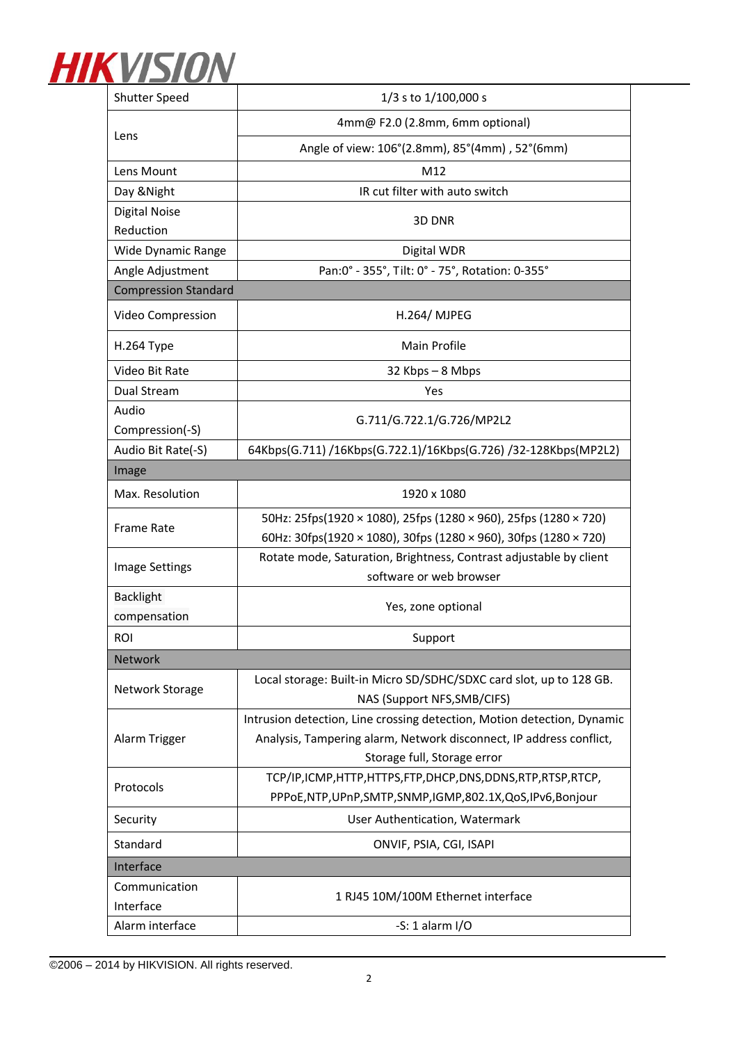

| <b>Shutter Speed</b>        | 1/3 s to 1/100,000 s                                                                               |  |  |  |
|-----------------------------|----------------------------------------------------------------------------------------------------|--|--|--|
| Lens                        | 4mm@ F2.0 (2.8mm, 6mm optional)                                                                    |  |  |  |
|                             | Angle of view: 106°(2.8mm), 85°(4mm), 52°(6mm)                                                     |  |  |  |
| Lens Mount                  | M12                                                                                                |  |  |  |
| Day & Night                 | IR cut filter with auto switch                                                                     |  |  |  |
| <b>Digital Noise</b>        | 3D DNR                                                                                             |  |  |  |
| Reduction                   |                                                                                                    |  |  |  |
| Wide Dynamic Range          | Digital WDR                                                                                        |  |  |  |
| Angle Adjustment            | Pan:0° - 355°, Tilt: 0° - 75°, Rotation: 0-355°                                                    |  |  |  |
| <b>Compression Standard</b> |                                                                                                    |  |  |  |
| Video Compression           | <b>H.264/ MJPEG</b>                                                                                |  |  |  |
| H.264 Type                  | Main Profile                                                                                       |  |  |  |
| Video Bit Rate              | 32 Kbps - 8 Mbps                                                                                   |  |  |  |
| <b>Dual Stream</b>          | Yes                                                                                                |  |  |  |
| Audio                       | G.711/G.722.1/G.726/MP2L2                                                                          |  |  |  |
| Compression(-S)             |                                                                                                    |  |  |  |
| Audio Bit Rate(-S)          | 64Kbps(G.711) /16Kbps(G.722.1)/16Kbps(G.726) /32-128Kbps(MP2L2)                                    |  |  |  |
| Image                       |                                                                                                    |  |  |  |
| Max. Resolution             | 1920 x 1080                                                                                        |  |  |  |
| <b>Frame Rate</b>           | 50Hz: 25fps(1920 × 1080), 25fps (1280 × 960), 25fps (1280 × 720)                                   |  |  |  |
|                             | 60Hz: 30fps(1920 × 1080), 30fps (1280 × 960), 30fps (1280 × 720)                                   |  |  |  |
| <b>Image Settings</b>       | Rotate mode, Saturation, Brightness, Contrast adjustable by client                                 |  |  |  |
|                             | software or web browser                                                                            |  |  |  |
| <b>Backlight</b>            | Yes, zone optional                                                                                 |  |  |  |
| compensation                |                                                                                                    |  |  |  |
| <b>ROI</b>                  | Support                                                                                            |  |  |  |
| <b>Network</b>              |                                                                                                    |  |  |  |
| Network Storage             | Local storage: Built-in Micro SD/SDHC/SDXC card slot, up to 128 GB.<br>NAS (Support NFS, SMB/CIFS) |  |  |  |
| Alarm Trigger               | Intrusion detection, Line crossing detection, Motion detection, Dynamic                            |  |  |  |
|                             | Analysis, Tampering alarm, Network disconnect, IP address conflict,                                |  |  |  |
|                             | Storage full, Storage error                                                                        |  |  |  |
| Protocols                   | TCP/IP,ICMP,HTTP,HTTPS,FTP,DHCP,DNS,DDNS,RTP,RTSP,RTCP,                                            |  |  |  |
|                             | PPPoE,NTP,UPnP,SMTP,SNMP,IGMP,802.1X,QoS,IPv6,Bonjour                                              |  |  |  |
| Security                    | User Authentication, Watermark                                                                     |  |  |  |
| Standard                    | ONVIF, PSIA, CGI, ISAPI                                                                            |  |  |  |
| Interface                   |                                                                                                    |  |  |  |
| Communication               |                                                                                                    |  |  |  |
| Interface                   | 1 RJ45 10M/100M Ethernet interface                                                                 |  |  |  |
| Alarm interface             | -S: 1 alarm $I/O$                                                                                  |  |  |  |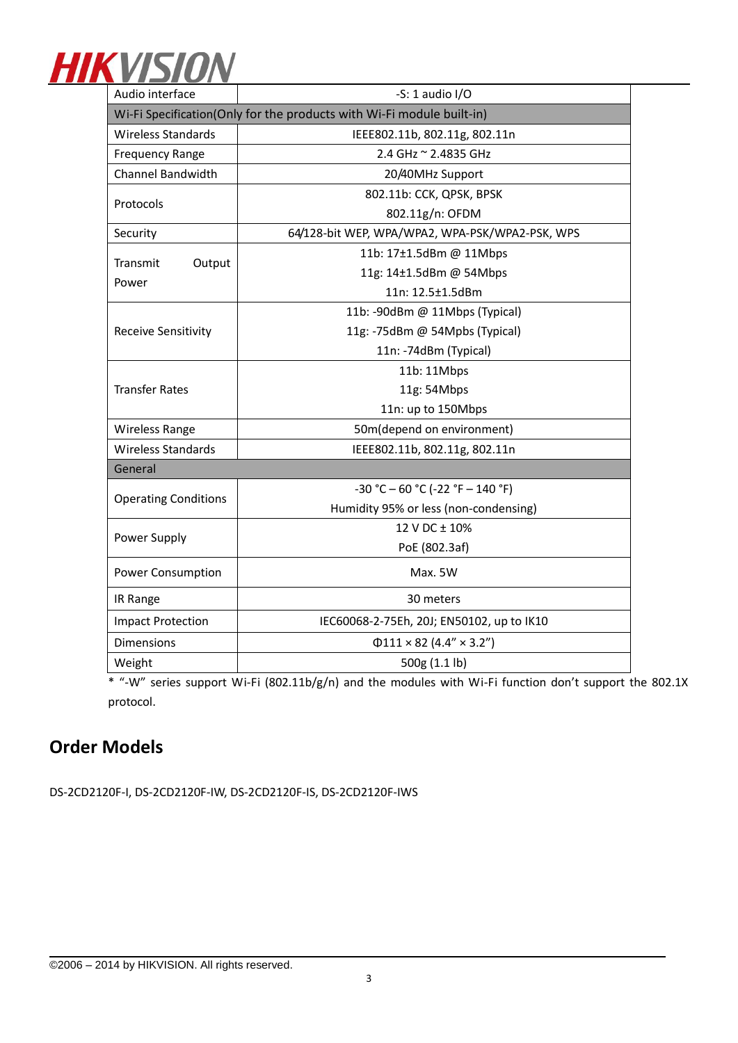| <b>HIKVISION</b> |  |
|------------------|--|
|                  |  |

| Audio interface                                                       | $-S: 1$ audio I/O                               |  |  |  |
|-----------------------------------------------------------------------|-------------------------------------------------|--|--|--|
| Wi-Fi Specification(Only for the products with Wi-Fi module built-in) |                                                 |  |  |  |
| Wireless Standards                                                    | IEEE802.11b, 802.11g, 802.11n                   |  |  |  |
| <b>Frequency Range</b>                                                | 2.4 GHz ~ 2.4835 GHz                            |  |  |  |
| <b>Channel Bandwidth</b>                                              | 20/40MHz Support                                |  |  |  |
| Protocols                                                             | 802.11b: CCK, QPSK, BPSK                        |  |  |  |
|                                                                       | 802.11g/n: OFDM                                 |  |  |  |
| Security                                                              | 64/128-bit WEP, WPA/WPA2, WPA-PSK/WPA2-PSK, WPS |  |  |  |
|                                                                       | 11b: 17±1.5dBm @ 11Mbps                         |  |  |  |
| Transmit<br>Output                                                    | 11g: 14±1.5dBm @ 54Mbps                         |  |  |  |
| Power                                                                 | 11n: 12.5±1.5dBm                                |  |  |  |
|                                                                       | 11b: -90dBm @ 11Mbps (Typical)                  |  |  |  |
| <b>Receive Sensitivity</b>                                            | 11g: -75dBm @ 54Mpbs (Typical)                  |  |  |  |
|                                                                       | 11n: -74dBm (Typical)                           |  |  |  |
|                                                                       | 11b: 11Mbps                                     |  |  |  |
| <b>Transfer Rates</b>                                                 | 11g: 54Mbps                                     |  |  |  |
|                                                                       | 11n: up to 150Mbps                              |  |  |  |
| Wireless Range                                                        | 50m(depend on environment)                      |  |  |  |
| <b>Wireless Standards</b>                                             | IEEE802.11b, 802.11g, 802.11n                   |  |  |  |
| General                                                               |                                                 |  |  |  |
| <b>Operating Conditions</b>                                           | $-30 °C - 60 °C (-22 °F - 140 °F)$              |  |  |  |
|                                                                       | Humidity 95% or less (non-condensing)           |  |  |  |
| Power Supply                                                          | 12 V DC ± 10%                                   |  |  |  |
|                                                                       | PoE (802.3af)                                   |  |  |  |
| Power Consumption                                                     | Max. 5W                                         |  |  |  |
| IR Range                                                              | 30 meters                                       |  |  |  |
| <b>Impact Protection</b>                                              | IEC60068-2-75Eh, 20J; EN50102, up to IK10       |  |  |  |
| <b>Dimensions</b>                                                     | $\Phi$ 111 × 82 (4.4" × 3.2")                   |  |  |  |
| Weight                                                                | 500g (1.1 lb)                                   |  |  |  |
|                                                                       |                                                 |  |  |  |

\* "-W" series support Wi-Fi (802.11b/g/n) and the modules with Wi-Fi function don't support the 802.1X protocol.

# **Order Models**

DS-2CD2120F-I, DS-2CD2120F-IW, DS-2CD2120F-IS, DS-2CD2120F-IWS